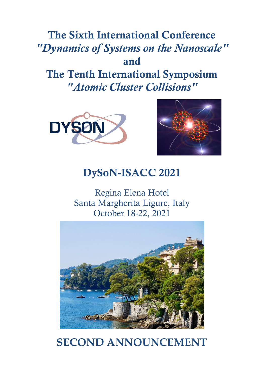# **The Sixth International Conference** *"Dynamics of Systems on the Nanoscale"* **and The Tenth International Symposium**  *"Atomic Cluster Collisions"*





# **DySoN-ISACC 2021**

Regina Elena Hotel Santa Margherita Ligure, Italy October 18-22, 2021



# **SECOND ANNOUNCEMENT**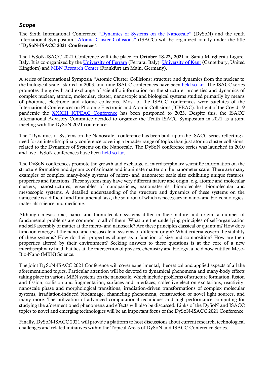### *Scope*

The Sixth International Conference "[Dynamics of Systems on the Nan](https://dyson-conference.org/)oscale" (DySoN) and the tenth International Symposium ["Atomic Cluster Collisions"](http://www.isacc-portal.org/) (ISACC) will be organized jointly under the title **"DySoN-ISACC 2021 Conference"**.

The DySoN-ISACC 2021 Conference will take place on **October 18-22, 2021** in Santa Margherita Ligure, Italy. It is co-organized by the [University of Ferrara](http://www.unife.it/international) (Ferrara, Italy), [University of Kent](https://www.kent.ac.uk/) (Canterbury, United Kingdom) and [MBN Research Center](http://mbnresearch.com/) (Frankfurt am Main, Germany).

A series of International Symposia "Atomic Cluster Collisions: structure and dynamics from the nuclear to the biological scale" started in 2003, and nine ISACC conferences have been [held so far.](http://www.isacc-portal.org/node/1) The ISACC series promotes the growth and exchange of scientific information on the structure, properties and dynamics of complex nuclear, atomic, molecular, cluster, nanoscopic and biological systems studied primarily by means of photonic, electronic and atomic collisions. Most of the ISACC conferences were satellites of the International Conferences on Photonic Electronic and Atomic Collisions (ICPEAC). In light of the Covid-19 pandemic the [XXXIII ICPEAC Conference](https://icpeac2023.ca/) has been postponed to 2023. Despite this, the ISACC International Advisory Committee decided to organize the Tenth ISACC Symposium in 2021 as a joint meeting with the DySoN 2021 conference.

The "Dynamics of Systems on the Nanoscale" conference has been built upon the ISACC series reflecting a need for an interdisciplinary conference covering a broader range of topics than just atomic cluster collisions, related to the Dynamics of Systems on the Nanoscale. The DySoN conference series was launched in 2010 and five DySoN conferences have been [held so far.](https://dyson-conference.org/node/16)

The DySoN conferences promote the growth and exchange of interdisciplinary scientific information on the structure formation and dynamics of animate and inanimate matter on the nanometer scale. There are many examples of complex many-body systems of micro- and nanometer scale size exhibiting unique features, properties and functions. These systems may have very different nature and origin, e.g. atomic and molecular clusters, nanostructures, ensembles of nanoparticles, nanomaterials, biomolecules, biomolecular and mesoscopic systems. A detailed understanding of the structure and dynamics of these systems on the nanoscale is a difficult and fundamental task, the solution of which is necessary in nano- and biotechnologies, materials science and medicine.

Although mesoscopic, nano- and biomolecular systems differ in their nature and origin, a number of fundamental problems are common to all of them: What are the underlying principles of self-organization and self-assembly of matter at the micro- and nanoscale? Are these principles classical or quantum? How does function emerge at the nano- and mesoscale in systems of different origin? What criteria govern the stability of these systems? How do their properties change as a function of size and composition? How are their properties altered by their environment? Seeking answers to these questions is at the core of a new interdisciplinary field that lies at the intersection of physics, chemistry and biology, a field now entitled Meso-Bio-Nano (MBN) Science.

The joint DySoN-ISACC 2021 Conference will cover experimental, theoretical and applied aspects of all the aforementioned topics. Particular attention will be devoted to dynamical phenomena and many-body effects taking place in various MBN systems on the nanoscale, which include problems of structure formation, fusion and fission, collision and fragmentation, surfaces and interfaces, collective electron excitations, reactivity, nanoscale phase and morphological transitions, irradiation-driven transformations of complex molecular systems, irradiation-induced biodamage, channeling phenomena, construction of novel light sources, and many more. The utilization of advanced computational techniques and high-performance computing for studying the aforementioned phenomena and effects will also be discussed. Links of the DySoN and ISACC topics to novel and emerging technologies will be an important focus of the DySoN-ISACC 2021 Conference.

Finally, DySoN-ISACC 2021 will provide a platform to host discussions about current research, technological challenges and related initiatives within the Topical Areas of DySoN and ISACC Conference Series.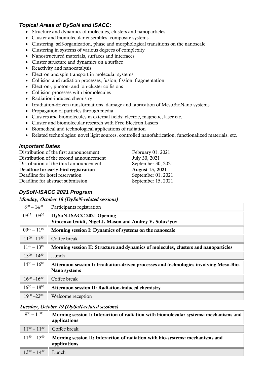# *Topical Areas of DySoN and ISACC:*

- Structure and dynamics of molecules, clusters and nanoparticles
- Cluster and biomolecular ensembles, composite systems
- Clustering, self-organization, phase and morphological transitions on the nanoscale
- Clustering in systems of various degrees of complexity
- Nanostructured materials, surfaces and interfaces
- Cluster structure and dynamics on a surface
- Reactivity and nanocatalysis
- Electron and spin transport in molecular systems
- Collision and radiation processes, fusion, fission, fragmentation
- Electron-, photon- and ion-cluster collisions
- Collision processes with biomolecules
- Radiation-induced chemistry
- Irradiation-driven transformations, damage and fabrication of MesoBioNano systems
- Propagation of particles through media
- Clusters and biomolecules in external fields: electric, magnetic, laser etc.
- Cluster and biomolecular research with Free Electron Lasers
- Biomedical and technological applications of radiation
- Related technologies: novel light sources, controlled nanofabrication, functionalized materials, etc.

#### *Important Dates*

Distribution of the first announcement February 01, 2021 Distribution of the second announcement July 30, 2021 Distribution of the third announcement September 30, 2021 **Deadline for early-bird registration August 15, 2021**

Deadline for hotel reservation September 01, 2021

Deadline for abstract submission September 15, 2021

# *DySoN-ISACC 2021 Program*

*Monday, October 18 (DySoN-related sessions)*

| $8^{00} - 14^{00}$  | Participants registration                                                                              |  |
|---------------------|--------------------------------------------------------------------------------------------------------|--|
| $09^{15} - 09^{30}$ | DySoN-ISACC 2021 Opening<br>Vincenzo Guidi, Nigel J. Mason and Andrey V. Solov'yov                     |  |
| $09^{30} - 11^{00}$ | Morning session I: Dynamics of systems on the nanoscale                                                |  |
| $11^{00} - 11^{30}$ | Coffee break                                                                                           |  |
| $11^{30} - 13^{00}$ | Morning session II: Structure and dynamics of molecules, clusters and nanoparticles                    |  |
| $13^{00} - 14^{30}$ | Lunch                                                                                                  |  |
| $14^{30} - 16^{00}$ | Afternoon session I: Irradiation-driven processes and technologies involving Meso-Bio-<br>Nano systems |  |
| $16^{00} - 16^{30}$ | Coffee break                                                                                           |  |
| $16^{30} - 18^{00}$ | Afternoon session II: Radiation-induced chemistry                                                      |  |
| $19^{00} - 22^{00}$ | Welcome reception                                                                                      |  |

#### *Tuesday, October 19 (DySoN-related sessions)*

| $9^{30} - 11^{00}$  | $\parallel$ Morning session I: Interaction of radiation with biomolecular systems: mechanisms and $\parallel$<br>applications |
|---------------------|-------------------------------------------------------------------------------------------------------------------------------|
|                     | $11^{00} - 11^{30}$ Coffee break                                                                                              |
|                     | $11^{30} - 13^{00}$    Morning session II: Interaction of radiation with bio-systems: mechanisms and<br>applications          |
| $13^{00} - 14^{30}$ | Lunch                                                                                                                         |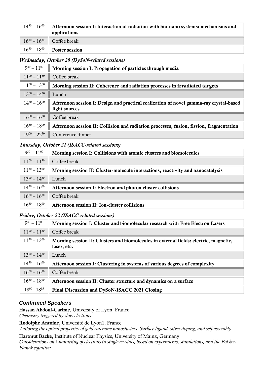| $14^{30} - 16^{00}$    Afternoon session I: Interaction of radiation with bio-nano systems: mechanisms and<br>applications |
|----------------------------------------------------------------------------------------------------------------------------|
| $16^{00} - 16^{30}$ Coffee break                                                                                           |
| $16^{30} - 18^{00}$ Poster session                                                                                         |

#### *Wednesday, October 20 (DySoN-related sessions)*

| $9^{30} - 11^{00}$  | Morning session I: Propagation of particles through media                                               |
|---------------------|---------------------------------------------------------------------------------------------------------|
| $11^{00} - 11^{30}$ | Coffee break                                                                                            |
| $11^{30} - 13^{00}$ | Morning session II: Coherence and radiation processes in irradiated targets                             |
| $13^{00} - 14^{30}$ | Lunch                                                                                                   |
| $14^{30} - 16^{00}$ | Afternoon session I: Design and practical realization of novel gamma-ray crystal-based<br>light sources |
| $16^{00} - 16^{30}$ | Coffee break                                                                                            |
| $16^{30} - 18^{00}$ | Afternoon session II: Collision and radiation processes, fusion, fission, fragmentation                 |
| $19^{00} - 22^{30}$ | Conference dinner                                                                                       |

#### *Thursday, October 21 (ISACC-related sessions)*

| $9^{30} - 11^{00}$  | Morning session I: Collisions with atomic clusters and biomolecules             |
|---------------------|---------------------------------------------------------------------------------|
| $11^{00} - 11^{30}$ | Coffee break                                                                    |
| $11^{30} - 13^{00}$ | Morning session II: Cluster-molecule interactions, reactivity and nanocatalysis |
| $13^{00} - 14^{30}$ | Lunch                                                                           |
| $14^{30} - 16^{00}$ | Afternoon session I: Electron and photon cluster collisions                     |
| $16^{00} - 16^{30}$ | Coffee break                                                                    |
| $16^{30} - 18^{00}$ | Afternoon session II: Ion-cluster collisions                                    |

#### *Friday, October 22 (ISACC-related sessions)*

| $9^{30} - 11^{00}$  | Morning session I: Cluster and biomolecular research with Free Electron Lasers                       |
|---------------------|------------------------------------------------------------------------------------------------------|
| $11^{00} - 11^{30}$ | Coffee break                                                                                         |
| $11^{30} - 13^{00}$ | Morning session II: Clusters and biomolecules in external fields: electric, magnetic,<br>laser, etc. |
| $13^{00} - 14^{30}$ | Lunch                                                                                                |
| $14^{30} - 16^{00}$ | Afternoon session I: Clustering in systems of various degrees of complexity                          |
| $16^{00} - 16^{30}$ | Coffee break                                                                                         |
| $16^{30} - 18^{00}$ | Afternoon session II: Cluster structure and dynamics on a surface                                    |
| $18^{00} - 18^{15}$ | Final Discussion and DySoN-ISACC 2021 Closing                                                        |

# *Confirmed Speakers*

**Hassan Abdoul-Carime**, University of Lyon, France *Chemistry triggered by slow electrons*

**Rodolphe Antoine**, Université de Lyon1, France *Tailoring the optical properties of gold catenane nanoclusters. Surface ligand, silver doping, and self-assembly*

**Hartmut Backe**, Institute of Nuclear Physics, University of Mainz, Germany

*Considerations on Channeling of electrons in single crystals, based on experiments, simulations, and the Fokker-Planck equation*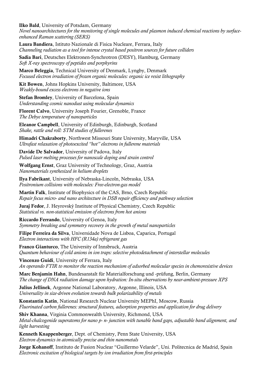**Ilko Bald**, University of Potsdam, Germany

*Novel nanoarchitectures for the monitoring of single molecules and plasmon induced chemical reactions by surfaceenhanced Raman scattering (SERS)*

**Laura Bandiera**, Istituto Nazionale di Fisica Nucleare, Ferrara, Italy *Channeling radiation as a tool for intense crystal based positron sources for future colliders*

**Sadia Bari**, Deutsches Elektronen-Synchrotron (DESY), Hamburg, Germany *Soft X-ray spectroscopy of peptides and porphyrins*

**Marco Beleggia**, Technical University of Denmark, Lyngby, Denmark *Focused electron irradiation of frozen organic molecules: organic ice resist lithography*

**Kit Bowen**, Johns Hopkins University, Baltimore, USA *Weakly-bound excess electrons in negative ions*

**Stefan Bromley**, University of Barcelona, Spain *Understanding cosmic nanodust using molecular dynamics*

**Florent Calvo**, University Joseph Fourier, Grenoble, France *The Debye temperature of nanoparticles*

**Eleanor Campbell**, University of Edinburgh, Edinburgh, Scotland *Shake, rattle and roll: STM studies of fullerenes*

**Himadri Chakraborty**, Northwest Missouri State University, Maryville, USA *Ultrafast relaxation of photoexcited "hot" electrons in fullerene materials*

**Davide De Salvador**, University of Padova, Italy *Pulsed laser melting processes for nanoscale doping and strain control*

**Wolfgang Ernst**, Graz University of Technology, Graz, Austria *Nanomaterials synthesized in helium droplets*

**Ilya Fabrikant**, University of Nebraska-Lincoln, Nebraska, USA *Positronium collisions with molecules: Free-electron-gas model*

**Martin Falk**, Institute of Biophysics of the CAS, Brno, Czech Republic *Repair focus micro- and nano architecture in DSB repair efficiency and pathway selection*

**Juraj Fedor**, J. Heyrovský Institute of Physical Chemistry, Czech Republic *Statistical vs. non-statistical emission of electrons from hot anions*

**Riccardo Ferrando**, University of Genoa, Italy *Symmetry breaking and symmetry recovery in the growth of metal nanoparticles*

**Filipe Ferreira da Silva**, Universidade Nova de Lisboa, Caparica, Portugal *Electron interactions with HFC (R134a) refrigerant gas*

**Franco Gianturco**, The University of Innsbruck, Austria *Quantum behaviour of cold anions in ion traps: selective photodetachment of interstellar molecules*

**Vincenzo Guidi**, University of Ferrara, Italy *An operando FTIR to monitor the reaction mechanism of adsorbed molecular species in chemoresistive devices*

**Marc Benjamin Hahn**, Bundesanstalt für Materialforschung und -prüfung, Berlin, Germany *The change of DNA radiation damage upon hydration: In-situ observations by near-ambient-pressure XPS*

**Julius Jellinek**, Argonne National Laboratory, Argonne, Illinois, USA *Universality in size-driven evolution towards bulk polarizability of metals*

**Konstantin Katin**, National Research Nuclear University MEPhI, Moscow, Russia *Fluorinated carbon fullerenes: structural features, adsorption properties and application for drug delivery*

**Shiv Khanna**, Virginia Commonwealth University, Richmond, USA *Metal-chalcogenide superatoms for nano p- n- junction with tunable band gaps, adjustable band alignment, and light harvesting*

**Kenneth Knappenberger**, Dept. of Chemistry, Penn State University, USA *Electron dynamics in atomically precise and thin nanometals*

**Jorge Kohanoff**, Instituto de Fusion Nuclear "Guillermo Velarde", Uni. Politecnica de Madrid, Spain *Electronic excitation of biological targets by ion irradiation from first-principles*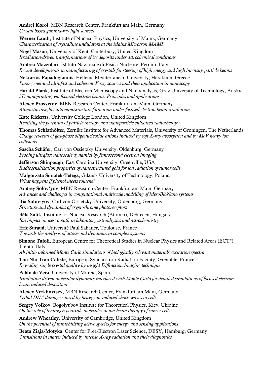**Andrei Korol**, MBN Research Center, Frankfurt am Main, Germany *Crystal based gamma-ray light sources*

**Werner Lauth**, Institute of Nuclear Physics, University of Mainz, Germany *Characterization of crystalline undulators at the Mainz Microtron MAMI*

**Nigel Mason**, University of Kent, Canterbury, United Kingdom *Irradiation-driven transformations of ice deposits under astrochemical conditions*

**Andrea Mazzolari**, Istituto Nazionale di Fisica Nucleare, Ferrara, Italy *Recent developments in manufacturing of crystals for steering of high energy and high intensity particle beams*

**Nektarios Papadogiannis**, Hellenic Mediterranean University, Heraklion, Greece *Laser-generated ultrafast and coherent X-ray sources and their application in nanoscopy*

**Harald Plank**, Institute of Electron Microscopy and Nanoanalysis, Graz University of Technology, Austria *3D nanoprinting via focused electron beams: Principles and applications*

**Alexey Prosvetov**, MBN Research Center, Frankfurt am Main, Germany *Atomistic insights into nanostructure formation under focused electron beam irradiation*

**Kate Ricketts**, University College London, United Kingdom *Realising the potential of particle therapy and nanoparticle enhanced radiotherapy*

**Thomas Schlathölter**, Zernike Institute for Advanced Materials, University of Groningen, The Netherlands *Charge reversal of gas-phase oligonucleotide anions induced by soft X-ray absorption and by MeV heavy ion collisions*

**Sascha Schäfer**, Carl von Ossietzky University, Oldenburg, Germany *Probing ultrafast nanoscale dynamics by femtosecond electron imaging*

**Jefferson Shinpaugh**, East Carolina University, Greenville, USA *Radiosensitization properties of nanostructured gold for ion radiation of tumor cells*

**Malgorzata Smialek-Telega**, Gdansk University of Technology, Poland *What happens if phenol meets toluene?*

**Andrey Solov'yov**, MBN Research Center, Frankfurt am Main, Germany *Advances and challenges in computational multiscale modelling of MesoBioNano systems*

**Ilia Solov'yov**, Carl von Ossietzky University, Oldenburg, Germany *Structure and dynamics of cryptochrome photoreceptors*

**Béla Sulik**, Institute for Nuclear Research (Atomki), Debrecen, Hungary *Ion impact on ices: a path in laboratory astrophysics and astrochemistry*

**Eric Suraud**, Université Paul Sabatier, Toulouse, France *Towards the analysis of attosecond dynamics in complex systems*

**Simone Taioli**, European Centre for Theoretical Studies in Nuclear Physics and Related Areas (ECT\*), Trento, Italy

*Ab initio informed Monte Carlo simulations of biologically relevant materials excitation spectra*

**Thu Nhi Tran Caliste**, European Synchrotron Radiation Facility, Grenoble, France *Revealing single crystal quality by insight Diffraction Imaging technique*

**Pablo de Vera**, University of Murcia, Spain *Irradiation driven molecular dynamics interfaced with Monte Carlo for detailed simulations of focused electron beam induced deposition*

**Alexey Verkhovtsev**, MBN Research Center, Frankfurt am Main, Germany *Lethal DNA damage caused by heavy ion-induced shock waves in cells*

**Sergey Volkov**, Bogolyubov Institute for Theoretical Physics, Kiev, Ukraine *On the role of hydrogen peroxide molecules in ion-beam therapy of cancer cells*

**Andrew Wheatley**, University of Cambridge, United Kingdom *On the potential of immobilizing active species for energy and sensing applications*

**Beata Ziaja-Motyka**, Center for Free-Electron Laser Science, DESY, Hamburg, Germany *Transitions in matter induced by intense X-ray radiation and their diagnostics*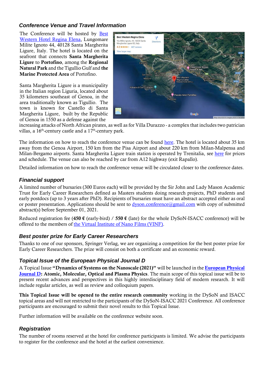### *Conference Venue and Travel Information*

The Conference will be hosted by [Best](https://www.reginaelena.it/en/home-page.aspx)  [Western Hotel Regina Elena,](https://www.reginaelena.it/en/home-page.aspx) Lungomare Milite Ignoto 44, 40128 Santa Margherita Ligure, Italy. The hotel is located on the seafront that connects **Santa Margherita Ligure** to **Portofino**, among the **Regional Natural Park** and the Tigullio Gulf and **the Marine Protected Area** of Portofino.

Santa Margherita Ligure is a municipality in the Italian region Liguria, located about 35 kilometers southeast of Genoa, in the area traditionally known as Tigullio. The town is known for Castello di Santa Margherita Ligure, built by the Republic of Genoa in 1550 as a defense against the



increasing attacks of North African pirates, as well as for Villa Durazzo - a complex that includes two patrician villas, a  $16<sup>th</sup>$ -century castle and a  $17<sup>th</sup>$ -century park.

The information on how to reach the conference venue can be found [here.](https://www.reginaelena.it/en/map-directions.aspx) The hotel is located about 35 km away from the Genoa Airport, 150 km from the Pisa Airport and about 220 km from Milan-Malpensa and Milan-Bergamo airports. Santa Margherita Ligure train station is operated by Trenitalia, see [here](https://www.trenitalia.com/en.html) for prices and schedule. The venue can also be reached by car from A12 highway (exit Rapallo).

Detailed information on how to reach the conference venue will be circulated closer to the conference dates.

# *Financial support*

A limited number of bursaries (300 Euros each) will be provided by the Sir John and Lady Mason Academic Trust for Early Career Researchers defined as Masters students doing research projects, PhD students and early postdocs (up to 3 years after PhD). Recipients of bursaries must have an abstract accepted either as oral or poster presentation. Applications should be sent to [dyson.conference@gmail.com](mailto:dyson.conference@gmail.com) with copy of submitted abstract(s) before September 01, 2021.

Reduced registration fee (**450 €** (early-bird) / **550 €** (late) for the whole DySoN-ISACC conference) will be offered to the members of [the Virtual Institute of Nano Films \(VINF\).](http://www.vinf.eu/)

#### *Best poster prize for Early Career Researchers*

Thanks to one of our sponsors, Springer Verlag, we are organizing a competition for the best poster prize for Early Career Researchers. The prize will consist on both a certificate and an economic reward.

#### *Topical Issue of the European Physical Journal D*

A Topical Issue **"Dynamics of Systems on the Nanoscale (2021)"** will be launched in the **[European Physical](https://epjd.epj.org/)  [Journal D:](https://epjd.epj.org/) Atomic, Molecular, Optical and Plasma Physics**. The main scope of this topical issue will be to present recent advances and perspectives in this highly interdisciplinary field of modern research. It will include regular articles, as well as review and colloquium papers.

**This Topical Issue will be opened to the entire research community** working in the DySoN and ISACC topical areas and will not restricted to the participants of the DySoN-ISACC 2021 Conference. All conference participants are encouraged to submit their novel results to this Topical Issue.

Further information will be available on the conference website soon.

# *Registration*

The number of rooms reserved at the hotel for conference participants is limited. We advise the participants to register for the conference and the hotel at the earliest convenience.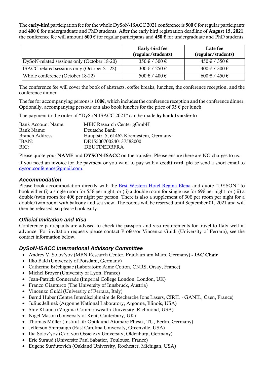The **early-bird** participation fee for the whole DySoN-ISACC 2021 conference is **500 €** for regular participants and **400 €** for undergraduate and PhD students. After the early bird registration deadline of **August 15, 2021**, the conference fee will amount **600 €** for regular participants and **450 €** for undergraduate and PhD students.

|                                             | Early-bird fee<br>(regular/students) | Late fee<br>(regular/students) |
|---------------------------------------------|--------------------------------------|--------------------------------|
| DySoN-related sessions only (October 18-20) | $350 \text{ } \in$ / 300 $\in$       | $450 \notin / 350 \in$         |
| ISACC-related sessions only (October 21-22) | $300 \notin 7250 \in$                | $400 \notin 7300 \in$          |
| Whole conference (October 18-22)            | $500 \text{ } \in$ / 400 $\in$       | $600 \text{ } \in$ / 450 $\in$ |

The conference fee will cover the book of abstracts, coffee breaks, lunches, the conference reception, and the conference dinner.

The fee for accompanying persons is **100€**, which includes the conference reception and the conference dinner. Optionally, accompanying persons can also book lunches for the price of  $35 \in \text{per lunch}$ .

The payment to the order of "DySoN-ISACC 2021" can be made **by bank transfer** to

| <b>Bank Account Name:</b> | MBN Research Center gGmbH               |
|---------------------------|-----------------------------------------|
| Bank Name:                | Deutsche Bank                           |
| Branch Address:           | Hauptstr. 5, 61462 Koenigstein, Germany |
| IBAN:                     | DE15500700240137588000                  |
| BIC:                      | <b>DEUTDEDBFRA</b>                      |

Please quote your **NAME** and **DYSON-ISACC** on the transfer. Please ensure there are NO charges to us.

If you need an invoice for the payment or you want to pay with **a credit card**, please send a short email to [dyson.conference@gmail.com.](mailto:dyson.conference@gmail.com)

#### *Accommodation*

Please book accommodation directly with the [Best Western Hotel Regina Elena](https://www.reginaelena.it/en/home-page.aspx) and quote "DYSON" to book either (i) a single room for 55€ per night, or (ii) a double room for single use for 69€ per night, or (iii) a double/twin room for 40€ per night per person. There is also a supplement of 30€ per room per night for a double/twin room with balcony and sea view. The rooms will be reserved until September 01, 2021 and will then be released, so please book early.

#### *Official Invitation and Visa*

Conference participants are advised to check the passport and visa requirements for travel to Italy well in advance. For invitation requests please contact Professor Vincenzo Guidi (University of Ferrara), see the contact information below.

#### *DySoN-ISACC International Advisory Committee*

- Andrey V. Solov'yov (MBN Research Center, Frankfurt am Main, Germany) **- IAC Chair**
- Ilko Bald (University of Potsdam, Germany)
- Catherine Bréchignac (Laboratoire Aime Cotton, CNRS, Orsay, France)
- Michel Broyer (University of Lyon, France)
- Jean-Patrick Connerade (Imperial College London, London, UK)
- Franco Gianturco (The University of Innsbruck, Austria)
- Vincenzo Guidi (University of Ferrara, Italy)
- Bernd Huber (Centre Interdisciplinaire de Recherche Ions Lasers, CIRIL GANIL, Caen, France)
- Julius Jellinek (Argonne National Laboratory, Argonne, Illinois, USA)
- Shiv Khanna (Virginia Commonwealth University, Richmond, USA)
- Nigel Mason (University of Kent, Canterbury, UK)
- Thomas Möller (Institut für Optik und Atomare Physik, TU, Berlin, Germany)
- Jefferson Shinpaugh (East Carolina University, Greenville, USA)
- Ilia Solov'yov (Carl von Ossietzky University, Oldenburg, Germany)
- Eric Suraud (Université Paul Sabatier, Toulouse, France)
- Eugene Surdutovich (Oakland University, Rochester, Michigan, USA)